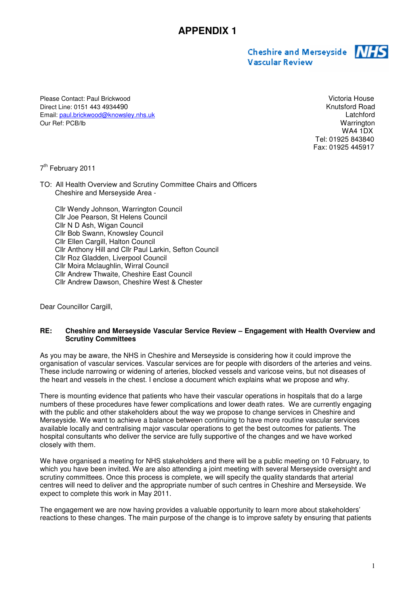Cheshire and Merseyside 715 **Vascular Review** 



Please Contact: Paul Brickwood Victoria House Direct Line: 0151 443 4934490 Email: paul.brickwood@knowsley.nhs.uk Latchford Our Ref: PCB/lb Warrington

 WA4 1DX Tel: 01925 843840 Fax: 01925 445917

7<sup>th</sup> February 2011

TO: All Health Overview and Scrutiny Committee Chairs and Officers Cheshire and Merseyside Area -

Cllr Wendy Johnson, Warrington Council Cllr Joe Pearson, St Helens Council Cllr N D Ash, Wigan Council Cllr Bob Swann, Knowsley Council Cllr Ellen Cargill, Halton Council Cllr Anthony Hill and Cllr Paul Larkin, Sefton Council Cllr Roz Gladden, Liverpool Council Cllr Moira Mclaughlin, Wirral Council Cllr Andrew Thwaite, Cheshire East Council Cllr Andrew Dawson, Cheshire West & Chester

Dear Councillor Cargill,

## **RE: Cheshire and Merseyside Vascular Service Review – Engagement with Health Overview and Scrutiny Committees**

As you may be aware, the NHS in Cheshire and Merseyside is considering how it could improve the organisation of vascular services. Vascular services are for people with disorders of the arteries and veins. These include narrowing or widening of arteries, blocked vessels and varicose veins, but not diseases of the heart and vessels in the chest. I enclose a document which explains what we propose and why.

There is mounting evidence that patients who have their vascular operations in hospitals that do a large numbers of these procedures have fewer complications and lower death rates. We are currently engaging with the public and other stakeholders about the way we propose to change services in Cheshire and Merseyside. We want to achieve a balance between continuing to have more routine vascular services available locally and centralising major vascular operations to get the best outcomes for patients. The hospital consultants who deliver the service are fully supportive of the changes and we have worked closely with them.

We have organised a meeting for NHS stakeholders and there will be a public meeting on 10 February, to which you have been invited. We are also attending a joint meeting with several Merseyside oversight and scrutiny committees. Once this process is complete, we will specify the quality standards that arterial centres will need to deliver and the appropriate number of such centres in Cheshire and Merseyside. We expect to complete this work in May 2011.

The engagement we are now having provides a valuable opportunity to learn more about stakeholders' reactions to these changes. The main purpose of the change is to improve safety by ensuring that patients